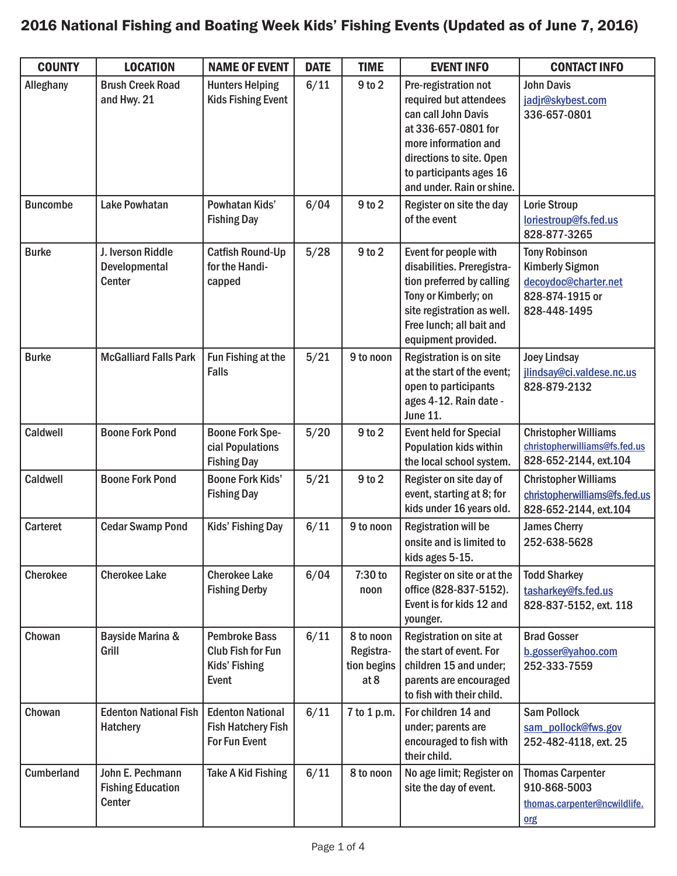## 2016 National Fishing and Boating Week Kids' Fishing Events (Updated as of June 7, 2016)

| <b>COUNTY</b>     | <b>LOCATION</b>                                        | <b>NAME OF EVENT</b>                                                              | <b>DATE</b> | <b>TIME</b>                                   | <b>EVENT INFO</b>                                                                                                                                                                                        | <b>CONTACT INFO</b>                                                                                       |
|-------------------|--------------------------------------------------------|-----------------------------------------------------------------------------------|-------------|-----------------------------------------------|----------------------------------------------------------------------------------------------------------------------------------------------------------------------------------------------------------|-----------------------------------------------------------------------------------------------------------|
| Alleghany         | <b>Brush Creek Road</b><br>and Hwy. 21                 | <b>Hunters Helping</b><br><b>Kids Fishing Event</b>                               | 6/11        | 9 to 2                                        | Pre-registration not<br>required but attendees<br>can call John Davis<br>at 336-657-0801 for<br>more information and<br>directions to site. Open<br>to participants ages 16<br>and under. Rain or shine. | <b>John Davis</b><br>jadjr@skybest.com<br>336-657-0801                                                    |
| <b>Buncombe</b>   | <b>Lake Powhatan</b>                                   | Powhatan Kids'<br><b>Fishing Day</b>                                              | 6/04        | $9$ to $2$                                    | Register on site the day<br>of the event                                                                                                                                                                 | Lorie Stroup<br>loriestroup@fs.fed.us<br>828-877-3265                                                     |
| <b>Burke</b>      | J. Iverson Riddle<br>Developmental<br>Center           | <b>Catfish Round-Up</b><br>for the Handi-<br>capped                               | 5/28        | $9$ to $2$                                    | Event for people with<br>disabilities. Preregistra-<br>tion preferred by calling<br>Tony or Kimberly; on<br>site registration as well.<br>Free lunch; all bait and<br>equipment provided.                | <b>Tony Robinson</b><br><b>Kimberly Sigmon</b><br>decoydoc@charter.net<br>828-874-1915 or<br>828-448-1495 |
| <b>Burke</b>      | <b>McGalliard Falls Park</b>                           | Fun Fishing at the<br><b>Falls</b>                                                | $5/21$      | 9 to noon                                     | <b>Registration is on site</b><br>at the start of the event;<br>open to participants<br>ages 4-12. Rain date -<br><b>June 11.</b>                                                                        | <b>Joey Lindsay</b><br>jlindsay@ci.valdese.nc.us<br>828-879-2132                                          |
| Caldwell          | <b>Boone Fork Pond</b>                                 | <b>Boone Fork Spe-</b><br>cial Populations<br><b>Fishing Day</b>                  | $5/20$      | 9 to 2                                        | <b>Event held for Special</b><br>Population kids within<br>the local school system.                                                                                                                      | <b>Christopher Williams</b><br>christopherwilliams@fs.fed.us<br>828-652-2144, ext.104                     |
| Caldwell          | <b>Boone Fork Pond</b>                                 | <b>Boone Fork Kids'</b><br><b>Fishing Day</b>                                     | 5/21        | 9 to 2                                        | Register on site day of<br>event, starting at 8; for<br>kids under 16 years old.                                                                                                                         | <b>Christopher Williams</b><br>christopherwilliams@fs.fed.us<br>828-652-2144, ext.104                     |
| Carteret          | <b>Cedar Swamp Pond</b>                                | Kids' Fishing Day                                                                 | 6/11        | 9 to noon                                     | <b>Registration will be</b><br>onsite and is limited to<br>kids ages 5-15.                                                                                                                               | <b>James Cherry</b><br>252-638-5628                                                                       |
| <b>Cherokee</b>   | <b>Cherokee Lake</b>                                   | <b>Cherokee Lake</b><br><b>Fishing Derby</b>                                      | 6/04        | 7:30 to<br>noon                               | Register on site or at the<br>office (828-837-5152).<br>Event is for kids 12 and<br>younger.                                                                                                             | <b>Todd Sharkey</b><br>tasharkey@fs.fed.us<br>828-837-5152, ext. 118                                      |
| Chowan            | Bayside Marina &<br>Grill                              | <b>Pembroke Bass</b><br><b>Club Fish for Fun</b><br><b>Kids' Fishing</b><br>Event | 6/11        | 8 to noon<br>Registra-<br>tion begins<br>at 8 | Registration on site at<br>the start of event. For<br>children 15 and under;<br>parents are encouraged<br>to fish with their child.                                                                      | <b>Brad Gosser</b><br>b.gosser@yahoo.com<br>252-333-7559                                                  |
| Chowan            | <b>Edenton National Fish</b><br><b>Hatchery</b>        | <b>Edenton National</b><br><b>Fish Hatchery Fish</b><br>For Fun Event             | 6/11        | 7 to 1 p.m.                                   | For children 14 and<br>under; parents are<br>encouraged to fish with<br>their child.                                                                                                                     | <b>Sam Pollock</b><br>sam_pollock@fws.gov<br>252-482-4118, ext. 25                                        |
| <b>Cumberland</b> | John E. Pechmann<br><b>Fishing Education</b><br>Center | <b>Take A Kid Fishing</b>                                                         | 6/11        | 8 to noon                                     | No age limit; Register on<br>site the day of event.                                                                                                                                                      | <b>Thomas Carpenter</b><br>910-868-5003<br>thomas.carpenter@ncwildlife.<br>org                            |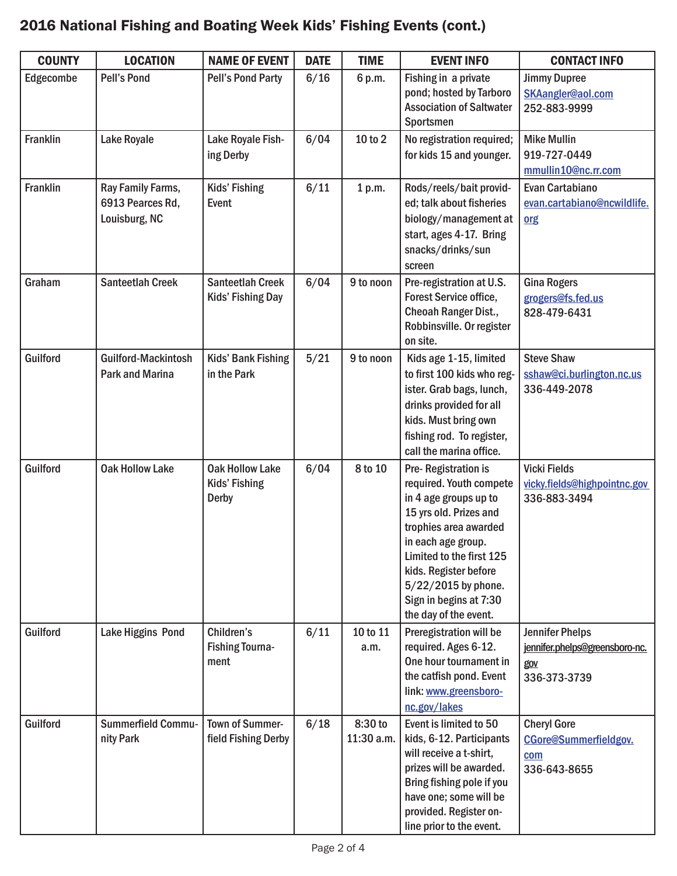## 2016 National Fishing and Boating Week Kids' Fishing Events (cont.)

| <b>COUNTY</b>   | <b>LOCATION</b>                                        | <b>NAME OF EVENT</b>                                    | <b>DATE</b> | <b>TIME</b>           | <b>EVENT INFO</b>                                                                                                                                                                                                                                                                 | <b>CONTACT INFO</b>                                                             |
|-----------------|--------------------------------------------------------|---------------------------------------------------------|-------------|-----------------------|-----------------------------------------------------------------------------------------------------------------------------------------------------------------------------------------------------------------------------------------------------------------------------------|---------------------------------------------------------------------------------|
| Edgecombe       | <b>Pell's Pond</b>                                     | <b>Pell's Pond Party</b>                                | 6/16        | 6 p.m.                | Fishing in a private<br>pond; hosted by Tarboro<br><b>Association of Saltwater</b><br>Sportsmen                                                                                                                                                                                   | <b>Jimmy Dupree</b><br>SKAangler@aol.com<br>252-883-9999                        |
| <b>Franklin</b> | <b>Lake Royale</b>                                     | Lake Royale Fish-<br>ing Derby                          | 6/04        | 10 to 2               | No registration required;<br>for kids 15 and younger.                                                                                                                                                                                                                             | <b>Mike Mullin</b><br>919-727-0449<br>mmullin10@nc.rr.com                       |
| <b>Franklin</b> | Ray Family Farms,<br>6913 Pearces Rd,<br>Louisburg, NC | Kids' Fishing<br>Event                                  | 6/11        | 1 p.m.                | Rods/reels/bait provid-<br>ed; talk about fisheries<br>biology/management at<br>start, ages 4-17. Bring<br>snacks/drinks/sun<br>screen                                                                                                                                            | Evan Cartabiano<br>evan.cartabiano@ncwildlife.<br>org                           |
| Graham          | <b>Santeetlah Creek</b>                                | <b>Santeetlah Creek</b><br>Kids' Fishing Day            | 6/04        | 9 to noon             | Pre-registration at U.S.<br>Forest Service office,<br>Cheoah Ranger Dist.,<br>Robbinsville. Or register<br>on site.                                                                                                                                                               | <b>Gina Rogers</b><br>grogers@fs.fed.us<br>828-479-6431                         |
| Guilford        | <b>Guilford-Mackintosh</b><br><b>Park and Marina</b>   | <b>Kids' Bank Fishing</b><br>in the Park                | 5/21        | 9 to noon             | Kids age 1-15, limited<br>to first 100 kids who reg-<br>ister. Grab bags, lunch,<br>drinks provided for all<br>kids. Must bring own<br>fishing rod. To register,<br>call the marina office.                                                                                       | <b>Steve Shaw</b><br>sshaw@ci.burlington.nc.us<br>336-449-2078                  |
| Guilford        | <b>Oak Hollow Lake</b>                                 | <b>Oak Hollow Lake</b><br>Kids' Fishing<br><b>Derby</b> | 6/04        | 8 to 10               | Pre-Registration is<br>required. Youth compete<br>in 4 age groups up to<br>15 yrs old. Prizes and<br>trophies area awarded<br>in each age group.<br>Limited to the first 125<br>kids. Register before<br>$5/22/2015$ by phone.<br>Sign in begins at 7:30<br>the day of the event. | <b>Vicki Fields</b><br>vicky.fields@highpointnc.gov<br>336-883-3494             |
| Guilford        | <b>Lake Higgins Pond</b>                               | Children's<br><b>Fishing Tourna-</b><br>ment            | 6/11        | 10 to 11<br>a.m.      | Preregistration will be<br>required. Ages 6-12.<br>One hour tournament in<br>the catfish pond. Event<br>link: www.greensboro-<br>nc.gov/lakes                                                                                                                                     | <b>Jennifer Phelps</b><br>jennifer.phelps@greensboro-nc.<br>gov<br>336-373-3739 |
| Guilford        | <b>Summerfield Commu-</b><br>nity Park                 | <b>Town of Summer-</b><br>field Fishing Derby           | 6/18        | 8:30 to<br>11:30 a.m. | Event is limited to 50<br>kids, 6-12. Participants<br>will receive a t-shirt,<br>prizes will be awarded.<br>Bring fishing pole if you<br>have one; some will be<br>provided. Register on-<br>line prior to the event.                                                             | <b>Cheryl Gore</b><br>CGore@Summerfieldgov.<br>com<br>336-643-8655              |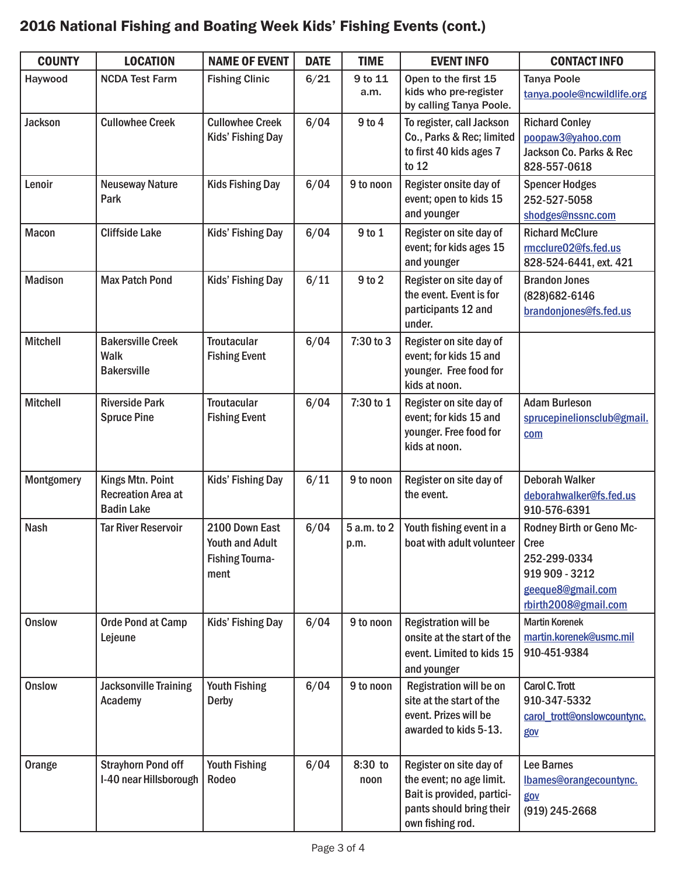## 2016 National Fishing and Boating Week Kids' Fishing Events (cont.)

| <b>COUNTY</b>     | <b>LOCATION</b>                                                    | <b>NAME OF EVENT</b>                                                       | <b>DATE</b> | <b>TIME</b>         | <b>EVENT INFO</b>                                                                                                                 | <b>CONTACT INFO</b>                                                                                             |
|-------------------|--------------------------------------------------------------------|----------------------------------------------------------------------------|-------------|---------------------|-----------------------------------------------------------------------------------------------------------------------------------|-----------------------------------------------------------------------------------------------------------------|
| Haywood           | <b>NCDA Test Farm</b>                                              | <b>Fishing Clinic</b>                                                      | 6/21        | 9 to 11             | Open to the first 15                                                                                                              | <b>Tanya Poole</b>                                                                                              |
|                   |                                                                    |                                                                            |             | a.m.                | kids who pre-register<br>by calling Tanya Poole.                                                                                  | tanya.poole@ncwildlife.org                                                                                      |
| <b>Jackson</b>    | <b>Cullowhee Creek</b>                                             | <b>Cullowhee Creek</b><br>Kids' Fishing Day                                | 6/04        | $9$ to $4$          | To register, call Jackson<br>Co., Parks & Rec; limited<br>to first 40 kids ages 7<br>to $12$                                      | <b>Richard Conley</b><br>poopaw3@yahoo.com<br>Jackson Co. Parks & Rec<br>828-557-0618                           |
| Lenoir            | <b>Neuseway Nature</b><br>Park                                     | <b>Kids Fishing Day</b>                                                    | 6/04        | 9 to noon           | Register onsite day of<br>event; open to kids 15<br>and younger                                                                   | <b>Spencer Hodges</b><br>252-527-5058<br>shodges@nssnc.com                                                      |
| <b>Macon</b>      | <b>Cliffside Lake</b>                                              | Kids' Fishing Day                                                          | 6/04        | 9 to 1              | Register on site day of<br>event; for kids ages 15<br>and younger                                                                 | <b>Richard McClure</b><br>rmcclure02@fs.fed.us<br>828-524-6441, ext. 421                                        |
| <b>Madison</b>    | <b>Max Patch Pond</b>                                              | Kids' Fishing Day                                                          | 6/11        | 9 to 2              | Register on site day of<br>the event. Event is for<br>participants 12 and<br>under.                                               | <b>Brandon Jones</b><br>(828) 682-6146<br>brandonjones@fs.fed.us                                                |
| <b>Mitchell</b>   | <b>Bakersville Creek</b><br><b>Walk</b><br><b>Bakersville</b>      | <b>Troutacular</b><br><b>Fishing Event</b>                                 | 6/04        | 7:30 to 3           | Register on site day of<br>event; for kids 15 and<br>younger. Free food for<br>kids at noon.                                      |                                                                                                                 |
| <b>Mitchell</b>   | <b>Riverside Park</b><br><b>Spruce Pine</b>                        | <b>Troutacular</b><br><b>Fishing Event</b>                                 | 6/04        | 7:30 to 1           | Register on site day of<br>event; for kids 15 and<br>younger. Free food for<br>kids at noon.                                      | <b>Adam Burleson</b><br>sprucepinelionsclub@gmail.<br>com                                                       |
| <b>Montgomery</b> | Kings Mtn. Point<br><b>Recreation Area at</b><br><b>Badin Lake</b> | Kids' Fishing Day                                                          | 6/11        | 9 to noon           | Register on site day of<br>the event.                                                                                             | <b>Deborah Walker</b><br>deborahwalker@fs.fed.us<br>910-576-6391                                                |
| <b>Nash</b>       | <b>Tar River Reservoir</b>                                         | 2100 Down East<br><b>Youth and Adult</b><br><b>Fishing Tourna-</b><br>ment | 6/04        | 5 a.m. to 2<br>p.m. | Youth fishing event in a<br>boat with adult volunteer                                                                             | Rodney Birth or Geno Mc-<br>Cree<br>252-299-0334<br>919 909 - 3212<br>geeque8@gmail.com<br>rbirth2008@gmail.com |
| <b>Onslow</b>     | <b>Orde Pond at Camp</b><br>Lejeune                                | Kids' Fishing Day                                                          | 6/04        | 9 to noon           | <b>Registration will be</b><br>onsite at the start of the<br>event. Limited to kids 15<br>and younger                             | <b>Martin Korenek</b><br>martin.korenek@usmc.mil<br>910-451-9384                                                |
| <b>Onslow</b>     | <b>Jacksonville Training</b><br>Academy                            | <b>Youth Fishing</b><br><b>Derby</b>                                       | 6/04        | 9 to noon           | <b>Registration will be on</b><br>site at the start of the<br>event. Prizes will be<br>awarded to kids 5-13.                      | Carol C. Trott<br>910-347-5332<br>carol_trott@onslowcountync.<br>gov                                            |
| Orange            | <b>Strayhorn Pond off</b><br>I-40 near Hillsborough                | <b>Youth Fishing</b><br>Rodeo                                              | 6/04        | 8:30 to<br>noon     | Register on site day of<br>the event; no age limit.<br>Bait is provided, partici-<br>pants should bring their<br>own fishing rod. | <b>Lee Barnes</b><br>lbames@orangecountync.<br>gov<br>$(919)$ 245-2668                                          |